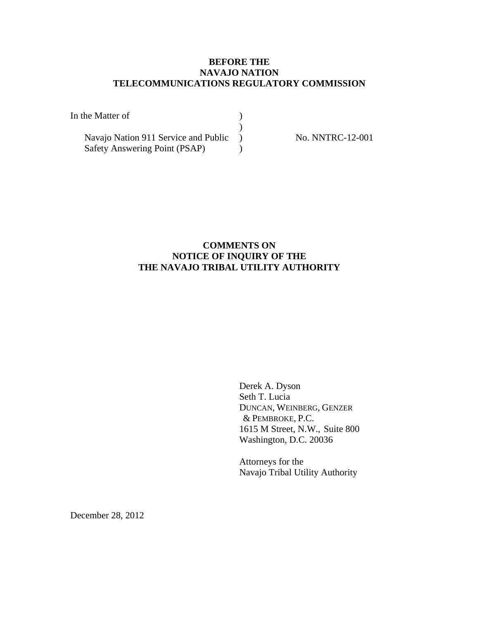# **BEFORE THE NAVAJO NATION TELECOMMUNICATIONS REGULATORY COMMISSION**

| In the Matter of                     |  |
|--------------------------------------|--|
|                                      |  |
| Navajo Nation 911 Service and Public |  |
| Safety Answering Point (PSAP)        |  |

No. NNTRC-12-001

# **COMMENTS ON NOTICE OF INQUIRY OF THE THE NAVAJO TRIBAL UTILITY AUTHORITY**

 Derek A. Dyson Seth T. Lucia DUNCAN, WEINBERG, GENZER & PEMBROKE, P.C. 1615 M Street, N.W., Suite 800 Washington, D.C. 20036

 Attorneys for the Navajo Tribal Utility Authority

December 28, 2012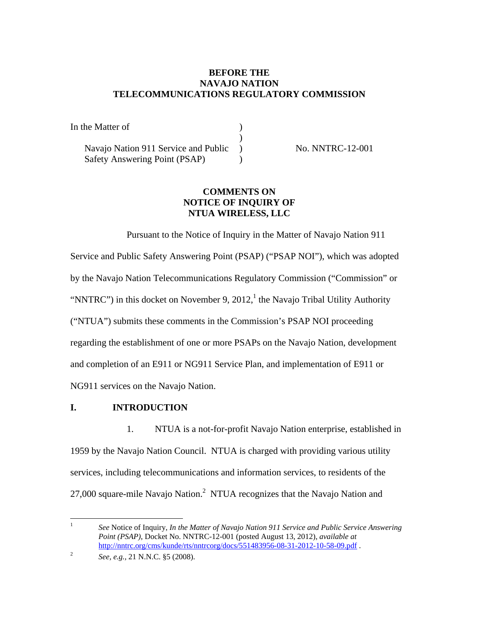# **BEFORE THE NAVAJO NATION TELECOMMUNICATIONS REGULATORY COMMISSION**

| In the Matter of                     |  |
|--------------------------------------|--|
|                                      |  |
| Navajo Nation 911 Service and Public |  |
| Safety Answering Point (PSAP)        |  |

No. NNTRC-12-001

# **COMMENTS ON NOTICE OF INQUIRY OF NTUA WIRELESS, LLC**

Pursuant to the Notice of Inquiry in the Matter of Navajo Nation 911 Service and Public Safety Answering Point (PSAP) ("PSAP NOI"), which was adopted by the Navajo Nation Telecommunications Regulatory Commission ("Commission" or "NNTRC") in this docket on November 9, 2012,<sup>1</sup> the Navajo Tribal Utility Authority ("NTUA") submits these comments in the Commission's PSAP NOI proceeding regarding the establishment of one or more PSAPs on the Navajo Nation, development and completion of an E911 or NG911 Service Plan, and implementation of E911 or NG911 services on the Navajo Nation.

# **I. INTRODUCTION**

1. NTUA is a not-for-profit Navajo Nation enterprise, established in 1959 by the Navajo Nation Council. NTUA is charged with providing various utility services, including telecommunications and information services, to residents of the 27,000 square-mile Navajo Nation.<sup>2</sup> NTUA recognizes that the Navajo Nation and

 $\frac{1}{1}$  *See* Notice of Inquiry, *In the Matter of Navajo Nation 911 Service and Public Service Answering Point (PSAP)*, Docket No. NNTRC-12-001 (posted August 13, 2012), *available at*  http://nntrc.org/cms/kunde/rts/nntrcorg/docs/551483956-08-31-2012-10-58-09.pdf .

<sup>2</sup> *See, e.g.,* 21 N.N.C. §5 (2008).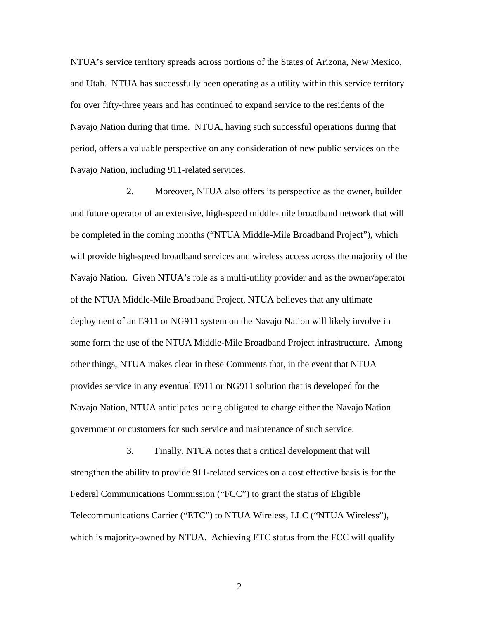NTUA's service territory spreads across portions of the States of Arizona, New Mexico, and Utah. NTUA has successfully been operating as a utility within this service territory for over fifty-three years and has continued to expand service to the residents of the Navajo Nation during that time. NTUA, having such successful operations during that period, offers a valuable perspective on any consideration of new public services on the Navajo Nation, including 911-related services.

2. Moreover, NTUA also offers its perspective as the owner, builder and future operator of an extensive, high-speed middle-mile broadband network that will be completed in the coming months ("NTUA Middle-Mile Broadband Project"), which will provide high-speed broadband services and wireless access across the majority of the Navajo Nation. Given NTUA's role as a multi-utility provider and as the owner/operator of the NTUA Middle-Mile Broadband Project, NTUA believes that any ultimate deployment of an E911 or NG911 system on the Navajo Nation will likely involve in some form the use of the NTUA Middle-Mile Broadband Project infrastructure. Among other things, NTUA makes clear in these Comments that, in the event that NTUA provides service in any eventual E911 or NG911 solution that is developed for the Navajo Nation, NTUA anticipates being obligated to charge either the Navajo Nation government or customers for such service and maintenance of such service.

3. Finally, NTUA notes that a critical development that will strengthen the ability to provide 911-related services on a cost effective basis is for the Federal Communications Commission ("FCC") to grant the status of Eligible Telecommunications Carrier ("ETC") to NTUA Wireless, LLC ("NTUA Wireless"), which is majority-owned by NTUA. Achieving ETC status from the FCC will qualify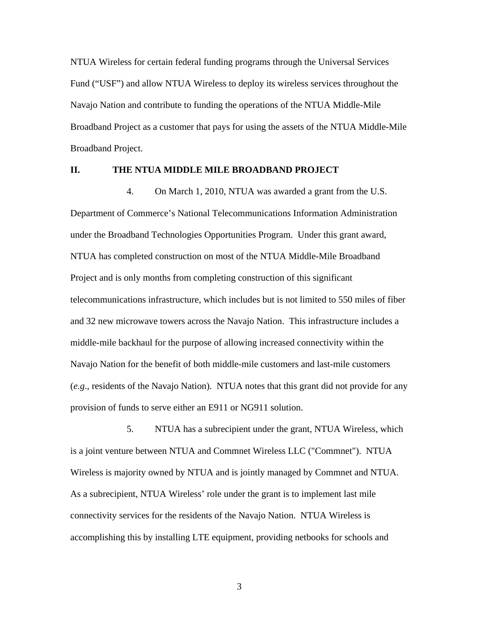NTUA Wireless for certain federal funding programs through the Universal Services Fund ("USF") and allow NTUA Wireless to deploy its wireless services throughout the Navajo Nation and contribute to funding the operations of the NTUA Middle-Mile Broadband Project as a customer that pays for using the assets of the NTUA Middle-Mile Broadband Project.

### **II. THE NTUA MIDDLE MILE BROADBAND PROJECT**

4. On March 1, 2010, NTUA was awarded a grant from the U.S. Department of Commerce's National Telecommunications Information Administration under the Broadband Technologies Opportunities Program. Under this grant award, NTUA has completed construction on most of the NTUA Middle-Mile Broadband Project and is only months from completing construction of this significant telecommunications infrastructure, which includes but is not limited to 550 miles of fiber and 32 new microwave towers across the Navajo Nation. This infrastructure includes a middle-mile backhaul for the purpose of allowing increased connectivity within the Navajo Nation for the benefit of both middle-mile customers and last-mile customers (*e.g*., residents of the Navajo Nation). NTUA notes that this grant did not provide for any provision of funds to serve either an E911 or NG911 solution.

5. NTUA has a subrecipient under the grant, NTUA Wireless, which is a joint venture between NTUA and Commnet Wireless LLC ("Commnet"). NTUA Wireless is majority owned by NTUA and is jointly managed by Commnet and NTUA. As a subrecipient, NTUA Wireless' role under the grant is to implement last mile connectivity services for the residents of the Navajo Nation. NTUA Wireless is accomplishing this by installing LTE equipment, providing netbooks for schools and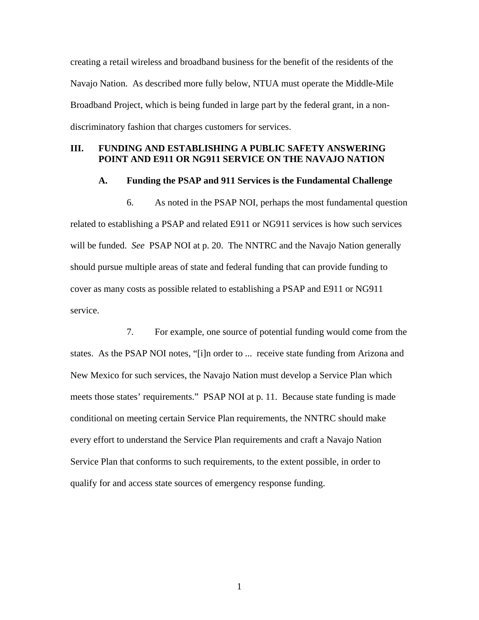creating a retail wireless and broadband business for the benefit of the residents of the Navajo Nation. As described more fully below, NTUA must operate the Middle-Mile Broadband Project, which is being funded in large part by the federal grant, in a nondiscriminatory fashion that charges customers for services.

### **III. FUNDING AND ESTABLISHING A PUBLIC SAFETY ANSWERING POINT AND E911 OR NG911 SERVICE ON THE NAVAJO NATION**

## **A. Funding the PSAP and 911 Services is the Fundamental Challenge**

6. As noted in the PSAP NOI, perhaps the most fundamental question related to establishing a PSAP and related E911 or NG911 services is how such services will be funded. *See* PSAP NOI at p. 20. The NNTRC and the Navajo Nation generally should pursue multiple areas of state and federal funding that can provide funding to cover as many costs as possible related to establishing a PSAP and E911 or NG911 service.

7. For example, one source of potential funding would come from the states. As the PSAP NOI notes, "[i]n order to ... receive state funding from Arizona and New Mexico for such services, the Navajo Nation must develop a Service Plan which meets those states' requirements." PSAP NOI at p. 11. Because state funding is made conditional on meeting certain Service Plan requirements, the NNTRC should make every effort to understand the Service Plan requirements and craft a Navajo Nation Service Plan that conforms to such requirements, to the extent possible, in order to qualify for and access state sources of emergency response funding.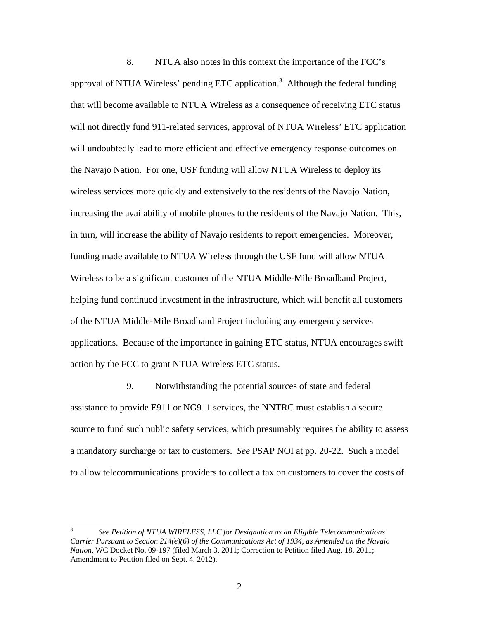8. NTUA also notes in this context the importance of the FCC's approval of NTUA Wireless' pending ETC application.<sup>3</sup> Although the federal funding that will become available to NTUA Wireless as a consequence of receiving ETC status will not directly fund 911-related services, approval of NTUA Wireless' ETC application will undoubtedly lead to more efficient and effective emergency response outcomes on the Navajo Nation. For one, USF funding will allow NTUA Wireless to deploy its wireless services more quickly and extensively to the residents of the Navajo Nation, increasing the availability of mobile phones to the residents of the Navajo Nation. This, in turn, will increase the ability of Navajo residents to report emergencies. Moreover, funding made available to NTUA Wireless through the USF fund will allow NTUA Wireless to be a significant customer of the NTUA Middle-Mile Broadband Project, helping fund continued investment in the infrastructure, which will benefit all customers of the NTUA Middle-Mile Broadband Project including any emergency services applications. Because of the importance in gaining ETC status, NTUA encourages swift action by the FCC to grant NTUA Wireless ETC status.

9. Notwithstanding the potential sources of state and federal assistance to provide E911 or NG911 services, the NNTRC must establish a secure source to fund such public safety services, which presumably requires the ability to assess a mandatory surcharge or tax to customers. *See* PSAP NOI at pp. 20-22. Such a model to allow telecommunications providers to collect a tax on customers to cover the costs of

 $\frac{1}{3}$  *See Petition of NTUA WIRELESS, LLC for Designation as an Eligible Telecommunications Carrier Pursuant to Section 214(e)(6) of the Communications Act of 1934, as Amended on the Navajo Nation*, WC Docket No. 09-197 (filed March 3, 2011; Correction to Petition filed Aug. 18, 2011; Amendment to Petition filed on Sept. 4, 2012).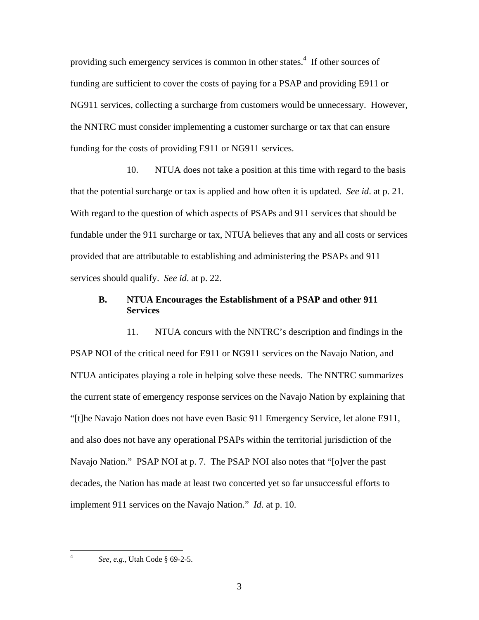providing such emergency services is common in other states.<sup>4</sup> If other sources of funding are sufficient to cover the costs of paying for a PSAP and providing E911 or NG911 services, collecting a surcharge from customers would be unnecessary. However, the NNTRC must consider implementing a customer surcharge or tax that can ensure funding for the costs of providing E911 or NG911 services.

10. NTUA does not take a position at this time with regard to the basis that the potential surcharge or tax is applied and how often it is updated. *See id*. at p. 21. With regard to the question of which aspects of PSAPs and 911 services that should be fundable under the 911 surcharge or tax, NTUA believes that any and all costs or services provided that are attributable to establishing and administering the PSAPs and 911 services should qualify. *See id*. at p. 22.

# **B. NTUA Encourages the Establishment of a PSAP and other 911 Services**

11. NTUA concurs with the NNTRC's description and findings in the PSAP NOI of the critical need for E911 or NG911 services on the Navajo Nation, and NTUA anticipates playing a role in helping solve these needs. The NNTRC summarizes the current state of emergency response services on the Navajo Nation by explaining that "[t]he Navajo Nation does not have even Basic 911 Emergency Service, let alone E911, and also does not have any operational PSAPs within the territorial jurisdiction of the Navajo Nation." PSAP NOI at p. 7. The PSAP NOI also notes that "[o]ver the past decades, the Nation has made at least two concerted yet so far unsuccessful efforts to implement 911 services on the Navajo Nation." *Id*. at p. 10.

 $\frac{1}{4}$ 

*See, e.g.,* Utah Code § 69-2-5.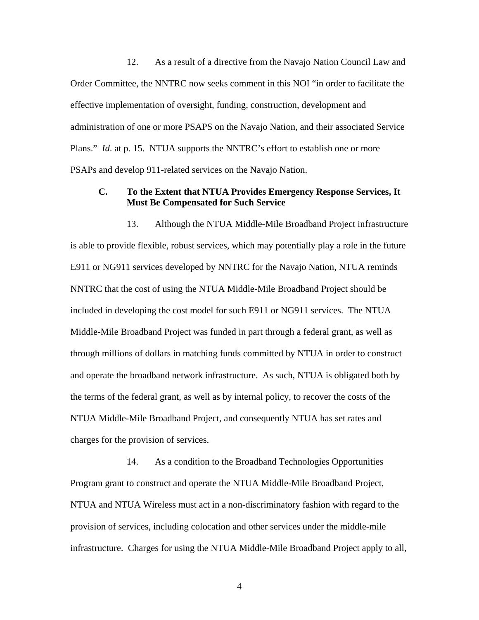12. As a result of a directive from the Navajo Nation Council Law and Order Committee, the NNTRC now seeks comment in this NOI "in order to facilitate the effective implementation of oversight, funding, construction, development and administration of one or more PSAPS on the Navajo Nation, and their associated Service Plans." *Id.* at p. 15. NTUA supports the NNTRC's effort to establish one or more PSAPs and develop 911-related services on the Navajo Nation.

# **C. To the Extent that NTUA Provides Emergency Response Services, It Must Be Compensated for Such Service**

13. Although the NTUA Middle-Mile Broadband Project infrastructure is able to provide flexible, robust services, which may potentially play a role in the future E911 or NG911 services developed by NNTRC for the Navajo Nation, NTUA reminds NNTRC that the cost of using the NTUA Middle-Mile Broadband Project should be included in developing the cost model for such E911 or NG911 services. The NTUA Middle-Mile Broadband Project was funded in part through a federal grant, as well as through millions of dollars in matching funds committed by NTUA in order to construct and operate the broadband network infrastructure. As such, NTUA is obligated both by the terms of the federal grant, as well as by internal policy, to recover the costs of the NTUA Middle-Mile Broadband Project, and consequently NTUA has set rates and charges for the provision of services.

14. As a condition to the Broadband Technologies Opportunities Program grant to construct and operate the NTUA Middle-Mile Broadband Project, NTUA and NTUA Wireless must act in a non-discriminatory fashion with regard to the provision of services, including colocation and other services under the middle-mile infrastructure. Charges for using the NTUA Middle-Mile Broadband Project apply to all,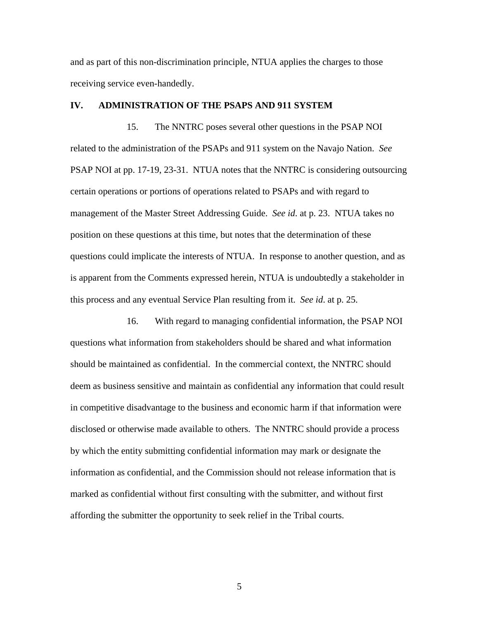and as part of this non-discrimination principle, NTUA applies the charges to those receiving service even-handedly.

#### **IV. ADMINISTRATION OF THE PSAPS AND 911 SYSTEM**

15. The NNTRC poses several other questions in the PSAP NOI related to the administration of the PSAPs and 911 system on the Navajo Nation. *See* PSAP NOI at pp. 17-19, 23-31. NTUA notes that the NNTRC is considering outsourcing certain operations or portions of operations related to PSAPs and with regard to management of the Master Street Addressing Guide. *See id*. at p. 23. NTUA takes no position on these questions at this time, but notes that the determination of these questions could implicate the interests of NTUA. In response to another question, and as is apparent from the Comments expressed herein, NTUA is undoubtedly a stakeholder in this process and any eventual Service Plan resulting from it. *See id*. at p. 25.

16. With regard to managing confidential information, the PSAP NOI questions what information from stakeholders should be shared and what information should be maintained as confidential. In the commercial context, the NNTRC should deem as business sensitive and maintain as confidential any information that could result in competitive disadvantage to the business and economic harm if that information were disclosed or otherwise made available to others. The NNTRC should provide a process by which the entity submitting confidential information may mark or designate the information as confidential, and the Commission should not release information that is marked as confidential without first consulting with the submitter, and without first affording the submitter the opportunity to seek relief in the Tribal courts.